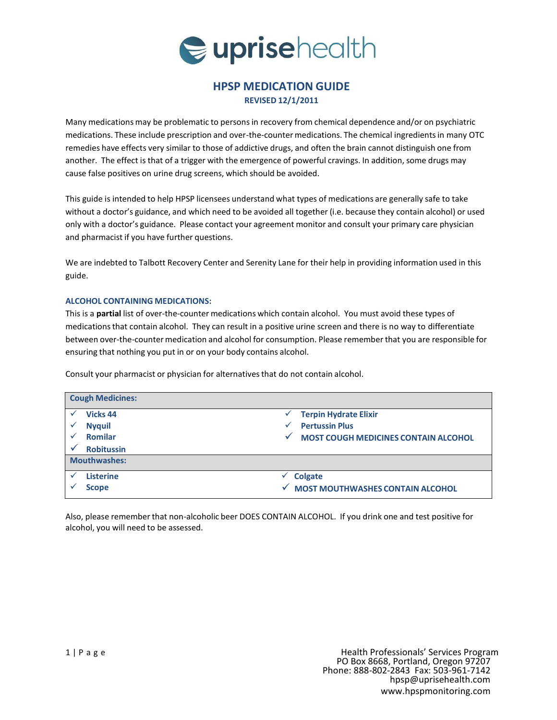

## **HPSP MEDICATION GUIDE REVISED 12/1/2011**

Many medications may be problematic to personsin recovery from chemical dependence and/or on psychiatric medications. These include prescription and over-the-countermedications. The chemical ingredientsin many OTC remedies have effects very similar to those of addictive drugs, and often the brain cannot distinguish one from another. The effect is that of a trigger with the emergence of powerful cravings. In addition, some drugs may cause false positives on urine drug screens, which should be avoided.

This guide is intended to help HPSP licensees understand what types of medications are generally safe to take without a doctor's guidance, and which need to be avoided all together (i.e. because they contain alcohol) or used only with a doctor's guidance. Please contact your agreement monitor and consult your primary care physician and pharmacist if you have further questions.

We are indebted to Talbott Recovery Center and Serenity Lane for their help in providing information used in this guide.

## **ALCOHOL CONTAINING MEDICATIONS:**

This is a **partial** list of over-the-counter medications which contain alcohol. You must avoid these types of medicationsthat contain alcohol. They can result in a positive urine screen and there is no way to differentiate between over-the-countermedication and alcohol for consumption. Please remember that you are responsible for ensuring that nothing you put in or on your body contains alcohol.

Consult your pharmacist or physician for alternatives that do not contain alcohol.

| <b>Cough Medicines:</b> |                                             |  |
|-------------------------|---------------------------------------------|--|
| <b>Vicks 44</b>         | <b>Terpin Hydrate Elixir</b><br>✓           |  |
| <b>Nyquil</b>           | <b>Pertussin Plus</b>                       |  |
| <b>Romilar</b>          | <b>MOST COUGH MEDICINES CONTAIN ALCOHOL</b> |  |
| <b>Robitussin</b>       |                                             |  |
| <b>Mouthwashes:</b>     |                                             |  |
| <b>Listerine</b>        | <b>Colgate</b>                              |  |
| <b>Scope</b>            | <b>MOST MOUTHWASHES CONTAIN ALCOHOL</b>     |  |

Also, please remember that non-alcoholic beer DOES CONTAIN ALCOHOL. If you drink one and test positive for alcohol, you will need to be assessed.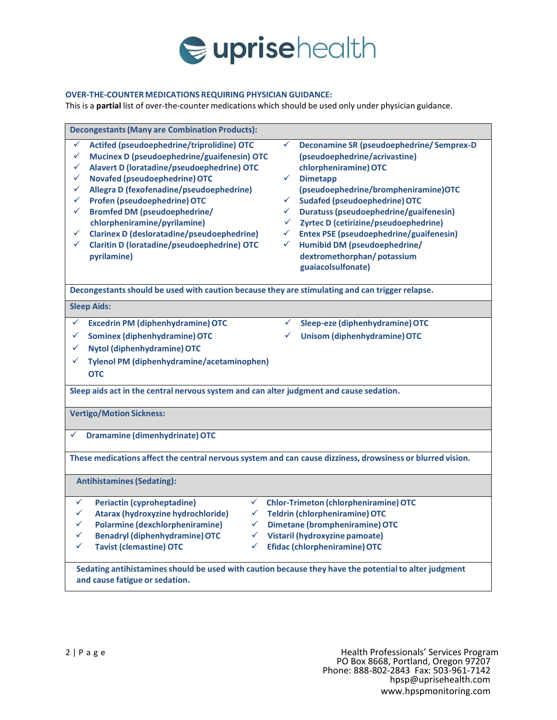

## **OVER-THE-COUNTERMEDICATIONS REQUIRING PHYSICIAN GUIDANCE:**

This is a **partial** list of over-the-counter medications which should be used only under physician guidance.

| <b>Decongestants (Many are Combination Products):</b>                                                                                                                                                                                                                                                                                                                                                                                                                                                                |                                                                                                                                                                                                                                                                                                                                                                                                                                                                                                                                             |  |  |  |
|----------------------------------------------------------------------------------------------------------------------------------------------------------------------------------------------------------------------------------------------------------------------------------------------------------------------------------------------------------------------------------------------------------------------------------------------------------------------------------------------------------------------|---------------------------------------------------------------------------------------------------------------------------------------------------------------------------------------------------------------------------------------------------------------------------------------------------------------------------------------------------------------------------------------------------------------------------------------------------------------------------------------------------------------------------------------------|--|--|--|
| ✓<br>Actifed (pseudoephedrine/triprolidine) OTC<br>✓<br>Mucinex D (pseudoephedrine/guaifenesin) OTC<br>✓<br>Alavert D (loratadine/pseudoephedrine) OTC<br>✓<br><b>Novafed (pseudoephedrine) OTC</b><br>✓<br>Allegra D (fexofenadine/pseudoephedrine)<br>Profen (pseudoephedrine) OTC<br>✓<br><b>Bromfed DM (pseudoephedrine/</b><br>✓<br>chlorpheniramine/pyrilamine)<br><b>Clarinex D (desloratadine/pseudoephedrine)</b><br>✓<br>$\checkmark$<br><b>Claritin D (loratadine/pseudoephedrine) OTC</b><br>pyrilamine) | $\checkmark$<br><b>Deconamine SR (pseudoephedrine/ Semprex-D</b><br>(pseudoephedrine/acrivastine)<br>chlorpheniramine) OTC<br><b>Dimetapp</b><br>$\checkmark$<br>(pseudoephedrine/brompheniramine)OTC<br><b>Sudafed (pseudoephedrine) OTC</b><br>$\checkmark$<br>$\checkmark$<br>Duratuss (pseudoephedrine/guaifenesin)<br>Zyrtec D (cetirizine/pseudoephedrine)<br>$\checkmark$<br><b>Entex PSE (pseudoephedrine/guaifenesin)</b><br>$\checkmark$<br>Humibid DM (pseudoephedrine/<br>✓<br>dextromethorphan/potassium<br>guaiacolsulfonate) |  |  |  |
| Decongestants should be used with caution because they are stimulating and can trigger relapse.                                                                                                                                                                                                                                                                                                                                                                                                                      |                                                                                                                                                                                                                                                                                                                                                                                                                                                                                                                                             |  |  |  |
| <b>Sleep Aids:</b>                                                                                                                                                                                                                                                                                                                                                                                                                                                                                                   |                                                                                                                                                                                                                                                                                                                                                                                                                                                                                                                                             |  |  |  |
| ✓<br><b>Excedrin PM (diphenhydramine) OTC</b>                                                                                                                                                                                                                                                                                                                                                                                                                                                                        | Sleep-eze (diphenhydramine) OTC<br>✓                                                                                                                                                                                                                                                                                                                                                                                                                                                                                                        |  |  |  |
| ✓<br><b>Sominex (diphenhydramine) OTC</b>                                                                                                                                                                                                                                                                                                                                                                                                                                                                            | <b>Unisom (diphenhydramine) OTC</b><br>✓                                                                                                                                                                                                                                                                                                                                                                                                                                                                                                    |  |  |  |
| Nytol (diphenhydramine) OTC<br>✓                                                                                                                                                                                                                                                                                                                                                                                                                                                                                     |                                                                                                                                                                                                                                                                                                                                                                                                                                                                                                                                             |  |  |  |
| Tylenol PM (diphenhydramine/acetaminophen)<br>✓                                                                                                                                                                                                                                                                                                                                                                                                                                                                      |                                                                                                                                                                                                                                                                                                                                                                                                                                                                                                                                             |  |  |  |
| <b>OTC</b>                                                                                                                                                                                                                                                                                                                                                                                                                                                                                                           |                                                                                                                                                                                                                                                                                                                                                                                                                                                                                                                                             |  |  |  |
|                                                                                                                                                                                                                                                                                                                                                                                                                                                                                                                      |                                                                                                                                                                                                                                                                                                                                                                                                                                                                                                                                             |  |  |  |
| Sleep aids act in the central nervous system and can alter judgment and cause sedation.                                                                                                                                                                                                                                                                                                                                                                                                                              |                                                                                                                                                                                                                                                                                                                                                                                                                                                                                                                                             |  |  |  |
| <b>Vertigo/Motion Sickness:</b>                                                                                                                                                                                                                                                                                                                                                                                                                                                                                      |                                                                                                                                                                                                                                                                                                                                                                                                                                                                                                                                             |  |  |  |
| <b>Dramamine (dimenhydrinate) OTC</b><br>✓                                                                                                                                                                                                                                                                                                                                                                                                                                                                           |                                                                                                                                                                                                                                                                                                                                                                                                                                                                                                                                             |  |  |  |
| These medications affect the central nervous system and can cause dizziness, drowsiness or blurred vision.                                                                                                                                                                                                                                                                                                                                                                                                           |                                                                                                                                                                                                                                                                                                                                                                                                                                                                                                                                             |  |  |  |
| <b>Antihistamines (Sedating):</b>                                                                                                                                                                                                                                                                                                                                                                                                                                                                                    |                                                                                                                                                                                                                                                                                                                                                                                                                                                                                                                                             |  |  |  |
| ✓<br>$\checkmark$<br><b>Periactin (cyproheptadine)</b>                                                                                                                                                                                                                                                                                                                                                                                                                                                               | <b>Chlor-Trimeton (chlorpheniramine) OTC</b>                                                                                                                                                                                                                                                                                                                                                                                                                                                                                                |  |  |  |
| Atarax (hydroxyzine hydrochloride)<br>✓<br>$\checkmark$                                                                                                                                                                                                                                                                                                                                                                                                                                                              | <b>Teldrin (chlorpheniramine) OTC</b>                                                                                                                                                                                                                                                                                                                                                                                                                                                                                                       |  |  |  |
| <b>Polarmine (dexchlorpheniramine)</b><br>✓<br>$\checkmark$                                                                                                                                                                                                                                                                                                                                                                                                                                                          | <b>Dimetane (brompheniramine) OTC</b>                                                                                                                                                                                                                                                                                                                                                                                                                                                                                                       |  |  |  |
| <b>Benadryl (diphenhydramine) OTC</b><br>$\checkmark$<br>✓                                                                                                                                                                                                                                                                                                                                                                                                                                                           | Vistaril (hydroxyzine pamoate)                                                                                                                                                                                                                                                                                                                                                                                                                                                                                                              |  |  |  |
| <b>Tavist (clemastine) OTC</b><br>✓<br>$\checkmark$                                                                                                                                                                                                                                                                                                                                                                                                                                                                  | <b>Efidac (chlorpheniramine) OTC</b>                                                                                                                                                                                                                                                                                                                                                                                                                                                                                                        |  |  |  |
| Sedating antihistamines should be used with caution because they have the potential to alter judgment<br>and cause fatigue or sedation.                                                                                                                                                                                                                                                                                                                                                                              |                                                                                                                                                                                                                                                                                                                                                                                                                                                                                                                                             |  |  |  |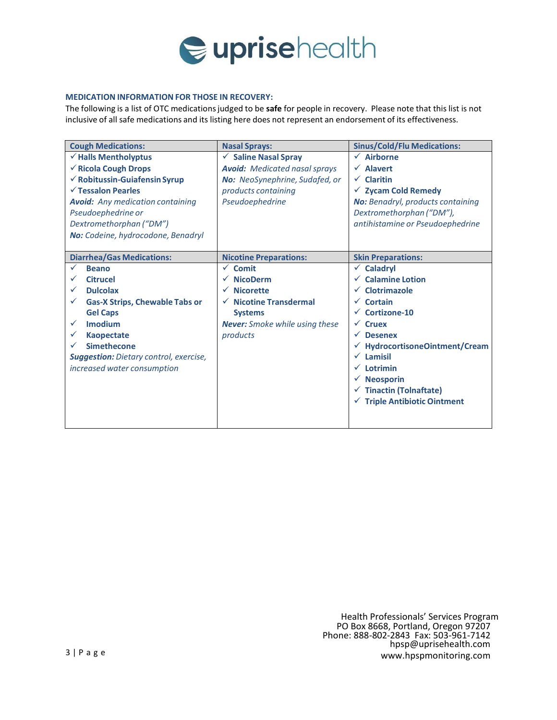

## **MEDICATION INFORMATION FOR THOSE IN RECOVERY:**

The following is a list of OTC medicationsjudged to be **safe** for people in recovery. Please note that this list is not inclusive of all safe medications and its listing here does not represent an endorsement of its effectiveness.

| <b>Cough Medications:</b>                     | <b>Nasal Sprays:</b>                  | <b>Sinus/Cold/Flu Medications:</b>      |
|-----------------------------------------------|---------------------------------------|-----------------------------------------|
| $\checkmark$ Halls Mentholyptus               | $\checkmark$ Saline Nasal Spray       | $\checkmark$<br><b>Airborne</b>         |
| √ Ricola Cough Drops                          | <b>Avoid:</b> Medicated nasal sprays  | $\sqrt{\phantom{a}}$ Alavert            |
| $\checkmark$ Robitussin-Guiafensin Syrup      | No: NeoSynephrine, Sudafed, or        | $\checkmark$ Claritin                   |
| $\checkmark$ Tessalon Pearles                 | products containing                   | $\checkmark$ Zycam Cold Remedy          |
| <b>Avoid:</b> Any medication containing       | Pseudoephedrine                       | No: Benadryl, products containing       |
| Pseudoephedrine or                            |                                       | Dextromethorphan ("DM"),                |
| Dextromethorphan ("DM")                       |                                       | antihistamine or Pseudoephedrine        |
| No: Codeine, hydrocodone, Benadryl            |                                       |                                         |
|                                               |                                       |                                         |
| <b>Diarrhea/Gas Medications:</b>              | <b>Nicotine Preparations:</b>         | <b>Skin Preparations:</b>               |
| <b>Beano</b>                                  | $\checkmark$ Comit                    | Caladryl<br>$\checkmark$                |
| <b>Citrucel</b>                               | <b>NicoDerm</b>                       | <b>Calamine Lotion</b>                  |
| <b>Dulcolax</b>                               | <b>Nicorette</b>                      | $\checkmark$ Clotrimazole               |
| <b>Gas-X Strips, Chewable Tabs or</b>         | $\checkmark$ Nicotine Transdermal     | $\checkmark$ Cortain                    |
| <b>Gel Caps</b>                               | <b>Systems</b>                        | Cortizone-10                            |
| Imodium                                       | <b>Never:</b> Smoke while using these | $\sqrt{\phantom{a}}$ Cruex              |
| <b>Kaopectate</b>                             | products                              | <b>Desenex</b>                          |
| <b>Simethecone</b>                            |                                       | HydrocortisoneOintment/Cream            |
| <b>Suggestion:</b> Dietary control, exercise, |                                       | $\checkmark$ Lamisil                    |
| increased water consumption                   |                                       | $\checkmark$ Lotrimin                   |
|                                               |                                       | $\checkmark$ Neosporin                  |
|                                               |                                       | $\checkmark$ Tinactin (Tolnaftate)      |
|                                               |                                       | $\checkmark$ Triple Antibiotic Ointment |
|                                               |                                       |                                         |
|                                               |                                       |                                         |